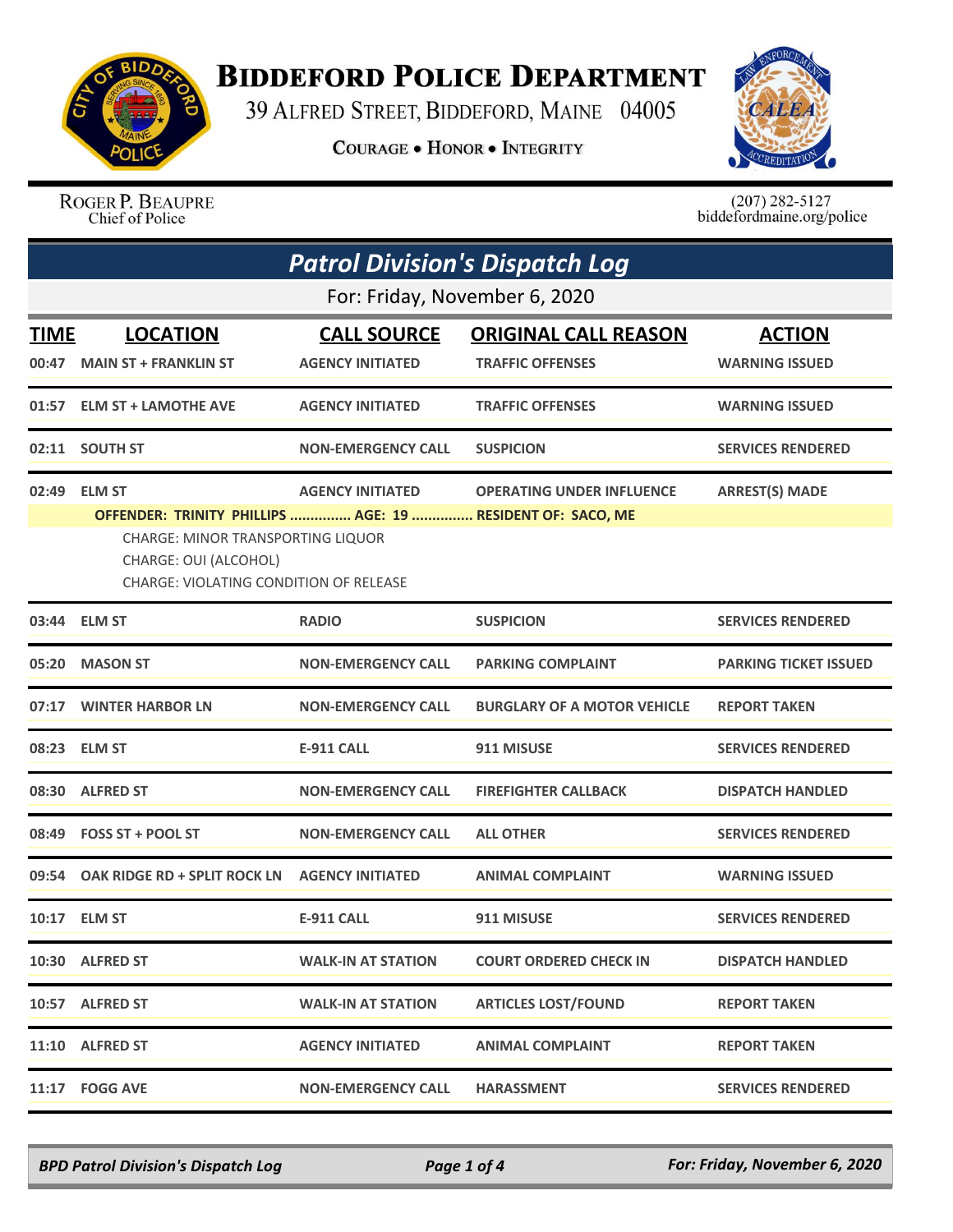

## **BIDDEFORD POLICE DEPARTMENT**

39 ALFRED STREET, BIDDEFORD, MAINE 04005

**COURAGE . HONOR . INTEGRITY** 



ROGER P. BEAUPRE Chief of Police

 $(207)$  282-5127 biddefordmaine.org/police

| <b>Patrol Division's Dispatch Log</b> |                                                                                                                                                                    |                           |                                    |                              |  |  |
|---------------------------------------|--------------------------------------------------------------------------------------------------------------------------------------------------------------------|---------------------------|------------------------------------|------------------------------|--|--|
|                                       | For: Friday, November 6, 2020                                                                                                                                      |                           |                                    |                              |  |  |
| <b>TIME</b>                           | <b>LOCATION</b>                                                                                                                                                    | <b>CALL SOURCE</b>        | <b>ORIGINAL CALL REASON</b>        | <b>ACTION</b>                |  |  |
| 00:47                                 | <b>MAIN ST + FRANKLIN ST</b>                                                                                                                                       | <b>AGENCY INITIATED</b>   | <b>TRAFFIC OFFENSES</b>            | <b>WARNING ISSUED</b>        |  |  |
| 01:57                                 | <b>ELM ST + LAMOTHE AVE</b>                                                                                                                                        | <b>AGENCY INITIATED</b>   | <b>TRAFFIC OFFENSES</b>            | <b>WARNING ISSUED</b>        |  |  |
| 02:11                                 | <b>SOUTH ST</b>                                                                                                                                                    | <b>NON-EMERGENCY CALL</b> | <b>SUSPICION</b>                   | <b>SERVICES RENDERED</b>     |  |  |
| 02:49                                 | <b>ELM ST</b>                                                                                                                                                      | <b>AGENCY INITIATED</b>   | <b>OPERATING UNDER INFLUENCE</b>   | <b>ARREST(S) MADE</b>        |  |  |
|                                       | OFFENDER: TRINITY PHILLIPS  AGE: 19  RESIDENT OF: SACO, ME<br>CHARGE: MINOR TRANSPORTING LIQUOR<br>CHARGE: OUI (ALCOHOL)<br>CHARGE: VIOLATING CONDITION OF RELEASE |                           |                                    |                              |  |  |
| 03:44                                 | <b>ELM ST</b>                                                                                                                                                      | <b>RADIO</b>              | <b>SUSPICION</b>                   | <b>SERVICES RENDERED</b>     |  |  |
| 05:20                                 | <b>MASON ST</b>                                                                                                                                                    | <b>NON-EMERGENCY CALL</b> | <b>PARKING COMPLAINT</b>           | <b>PARKING TICKET ISSUED</b> |  |  |
| 07:17                                 | <b>WINTER HARBOR LN</b>                                                                                                                                            | <b>NON-EMERGENCY CALL</b> | <b>BURGLARY OF A MOTOR VEHICLE</b> | <b>REPORT TAKEN</b>          |  |  |
| 08:23                                 | <b>ELM ST</b>                                                                                                                                                      | <b>E-911 CALL</b>         | 911 MISUSE                         | <b>SERVICES RENDERED</b>     |  |  |
|                                       | 08:30 ALFRED ST                                                                                                                                                    | <b>NON-EMERGENCY CALL</b> | <b>FIREFIGHTER CALLBACK</b>        | <b>DISPATCH HANDLED</b>      |  |  |
| 08:49                                 | <b>FOSS ST + POOL ST</b>                                                                                                                                           | <b>NON-EMERGENCY CALL</b> | <b>ALL OTHER</b>                   | <b>SERVICES RENDERED</b>     |  |  |
| 09:54                                 | OAK RIDGE RD + SPLIT ROCK LN                                                                                                                                       | <b>AGENCY INITIATED</b>   | <b>ANIMAL COMPLAINT</b>            | <b>WARNING ISSUED</b>        |  |  |
|                                       | 10:17 ELM ST                                                                                                                                                       | <b>E-911 CALL</b>         | 911 MISUSE                         | <b>SERVICES RENDERED</b>     |  |  |
|                                       | 10:30 ALFRED ST                                                                                                                                                    | <b>WALK-IN AT STATION</b> | <b>COURT ORDERED CHECK IN</b>      | <b>DISPATCH HANDLED</b>      |  |  |
|                                       | 10:57 ALFRED ST                                                                                                                                                    | <b>WALK-IN AT STATION</b> | <b>ARTICLES LOST/FOUND</b>         | <b>REPORT TAKEN</b>          |  |  |
|                                       | 11:10 ALFRED ST                                                                                                                                                    | <b>AGENCY INITIATED</b>   | <b>ANIMAL COMPLAINT</b>            | <b>REPORT TAKEN</b>          |  |  |
| 11:17                                 | <b>FOGG AVE</b>                                                                                                                                                    | <b>NON-EMERGENCY CALL</b> | <b>HARASSMENT</b>                  | <b>SERVICES RENDERED</b>     |  |  |

*BPD Patrol Division's Dispatch Log Page 1 of 4 For: Friday, November 6, 2020*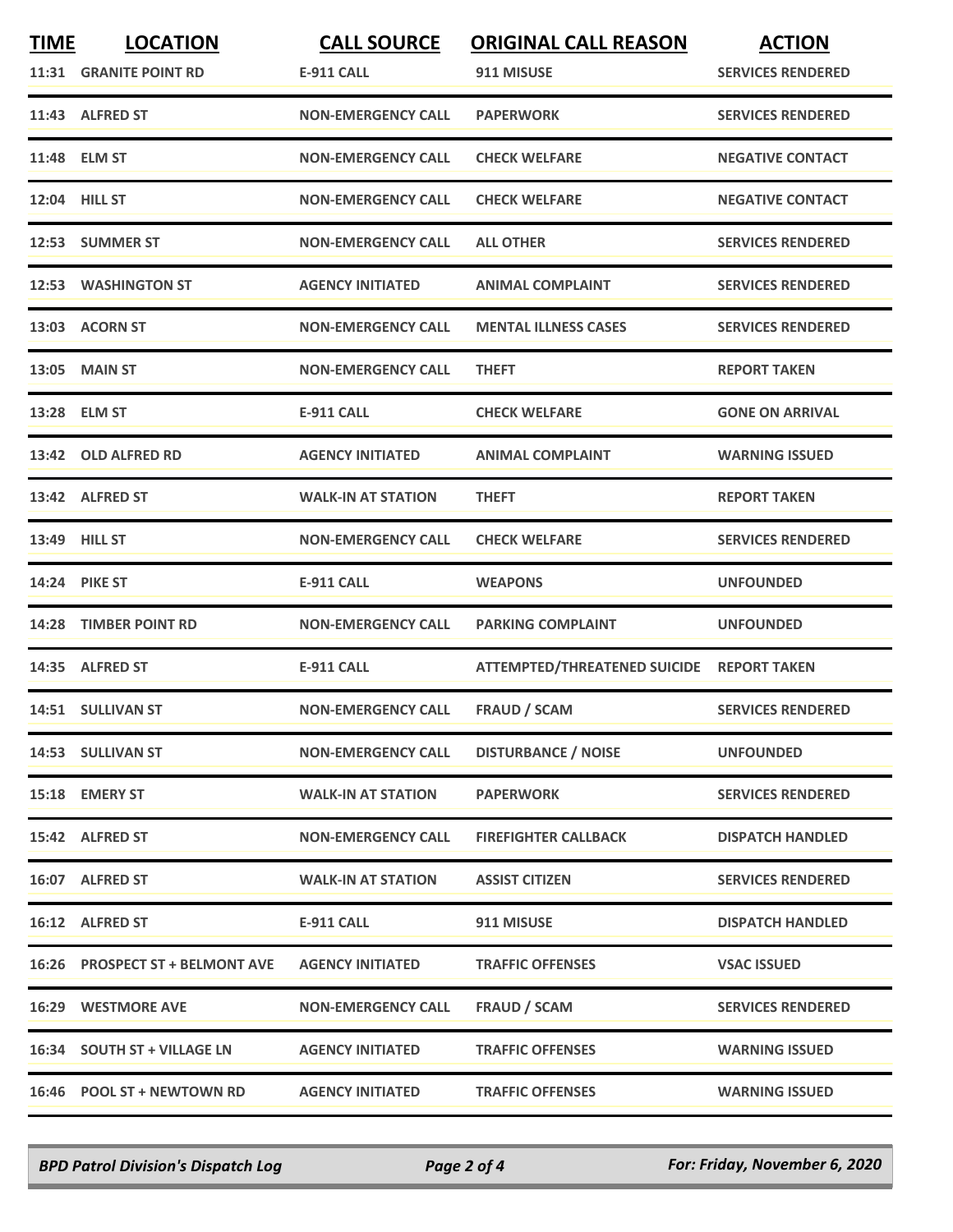| <b>TIME</b> | <b>LOCATION</b><br>11:31 GRANITE POINT RD | <b>CALL SOURCE</b><br><b>E-911 CALL</b> | <b>ORIGINAL CALL REASON</b><br>911 MISUSE | <b>ACTION</b><br><b>SERVICES RENDERED</b> |
|-------------|-------------------------------------------|-----------------------------------------|-------------------------------------------|-------------------------------------------|
|             | 11:43 ALFRED ST                           | <b>NON-EMERGENCY CALL</b>               | <b>PAPERWORK</b>                          | <b>SERVICES RENDERED</b>                  |
|             | 11:48 ELM ST                              | <b>NON-EMERGENCY CALL</b>               | <b>CHECK WELFARE</b>                      | <b>NEGATIVE CONTACT</b>                   |
|             | 12:04 HILL ST                             | <b>NON-EMERGENCY CALL</b>               | <b>CHECK WELFARE</b>                      | <b>NEGATIVE CONTACT</b>                   |
|             | 12:53 SUMMER ST                           | <b>NON-EMERGENCY CALL</b>               | <b>ALL OTHER</b>                          | <b>SERVICES RENDERED</b>                  |
|             | 12:53 WASHINGTON ST                       | <b>AGENCY INITIATED</b>                 | <b>ANIMAL COMPLAINT</b>                   | <b>SERVICES RENDERED</b>                  |
|             | 13:03 ACORN ST                            | <b>NON-EMERGENCY CALL</b>               | <b>MENTAL ILLNESS CASES</b>               | <b>SERVICES RENDERED</b>                  |
|             | <b>13:05 MAIN ST</b>                      | <b>NON-EMERGENCY CALL</b>               | <b>THEFT</b>                              | <b>REPORT TAKEN</b>                       |
|             | 13:28 ELM ST                              | <b>E-911 CALL</b>                       | <b>CHECK WELFARE</b>                      | <b>GONE ON ARRIVAL</b>                    |
|             | 13:42 OLD ALFRED RD                       | <b>AGENCY INITIATED</b>                 | <b>ANIMAL COMPLAINT</b>                   | <b>WARNING ISSUED</b>                     |
|             | 13:42 ALFRED ST                           | <b>WALK-IN AT STATION</b>               | <b>THEFT</b>                              | <b>REPORT TAKEN</b>                       |
|             | 13:49 HILL ST                             | <b>NON-EMERGENCY CALL</b>               | <b>CHECK WELFARE</b>                      | <b>SERVICES RENDERED</b>                  |
|             | <b>14:24 PIKE ST</b>                      | <b>E-911 CALL</b>                       | <b>WEAPONS</b>                            | <b>UNFOUNDED</b>                          |
| 14:28       | <b>TIMBER POINT RD</b>                    | <b>NON-EMERGENCY CALL</b>               | <b>PARKING COMPLAINT</b>                  | <b>UNFOUNDED</b>                          |
|             | 14:35 ALFRED ST                           | E-911 CALL                              | ATTEMPTED/THREATENED SUICIDE REPORT TAKEN |                                           |
|             | 14:51 SULLIVAN ST                         | <b>NON-EMERGENCY CALL</b>               | <b>FRAUD / SCAM</b>                       | <b>SERVICES RENDERED</b>                  |
|             | 14:53 SULLIVAN ST                         | <b>NON-EMERGENCY CALL</b>               | <b>DISTURBANCE / NOISE</b>                | <b>UNFOUNDED</b>                          |
|             | 15:18 EMERY ST                            | <b>WALK-IN AT STATION</b>               | <b>PAPERWORK</b>                          | <b>SERVICES RENDERED</b>                  |
|             | 15:42 ALFRED ST                           | <b>NON-EMERGENCY CALL</b>               | <b>FIREFIGHTER CALLBACK</b>               | <b>DISPATCH HANDLED</b>                   |
|             | 16:07 ALFRED ST                           | <b>WALK-IN AT STATION</b>               | <b>ASSIST CITIZEN</b>                     | <b>SERVICES RENDERED</b>                  |
|             | 16:12 ALFRED ST                           | E-911 CALL                              | 911 MISUSE                                | <b>DISPATCH HANDLED</b>                   |
|             | 16:26 PROSPECT ST + BELMONT AVE           | <b>AGENCY INITIATED</b>                 | <b>TRAFFIC OFFENSES</b>                   | <b>VSAC ISSUED</b>                        |
|             | <b>16:29 WESTMORE AVE</b>                 | <b>NON-EMERGENCY CALL</b>               | FRAUD / SCAM                              | <b>SERVICES RENDERED</b>                  |
|             | 16:34 SOUTH ST + VILLAGE LN               | <b>AGENCY INITIATED</b>                 | <b>TRAFFIC OFFENSES</b>                   | <b>WARNING ISSUED</b>                     |
|             | 16:46 POOL ST + NEWTOWN RD                | <b>AGENCY INITIATED</b>                 | <b>TRAFFIC OFFENSES</b>                   | <b>WARNING ISSUED</b>                     |

*BPD Patrol Division's Dispatch Log Page 2 of 4 For: Friday, November 6, 2020*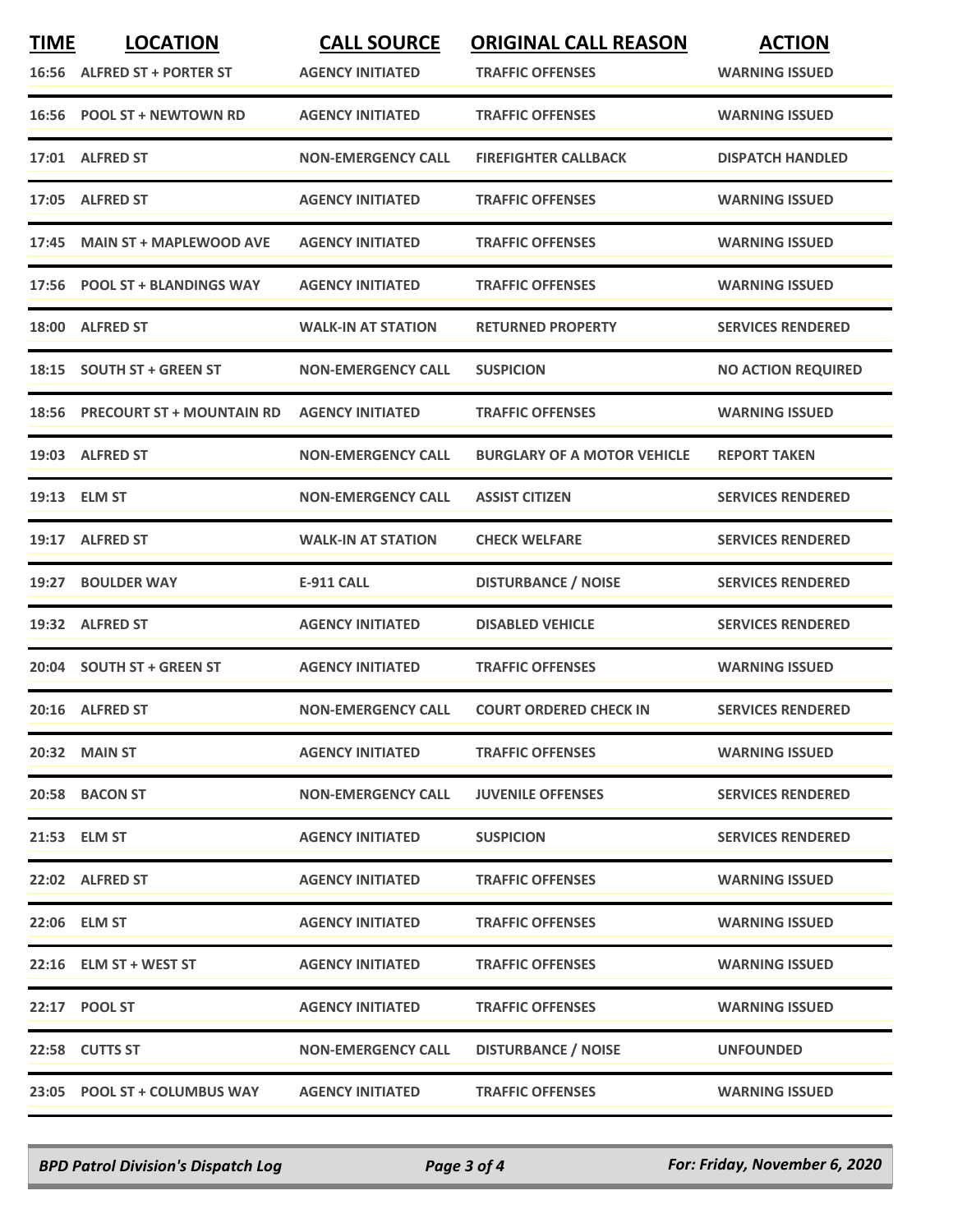| <b>TIME</b> | <b>LOCATION</b><br>16:56 ALFRED ST + PORTER ST | <b>CALL SOURCE</b><br><b>AGENCY INITIATED</b> | <b>ORIGINAL CALL REASON</b><br><b>TRAFFIC OFFENSES</b> | <b>ACTION</b><br><b>WARNING ISSUED</b> |
|-------------|------------------------------------------------|-----------------------------------------------|--------------------------------------------------------|----------------------------------------|
|             | 16:56 POOL ST + NEWTOWN RD                     | <b>AGENCY INITIATED</b>                       | <b>TRAFFIC OFFENSES</b>                                | <b>WARNING ISSUED</b>                  |
|             | 17:01 ALFRED ST                                | <b>NON-EMERGENCY CALL</b>                     | <b>FIREFIGHTER CALLBACK</b>                            | <b>DISPATCH HANDLED</b>                |
| 17:05       | <b>ALFRED ST</b>                               | <b>AGENCY INITIATED</b>                       | <b>TRAFFIC OFFENSES</b>                                | <b>WARNING ISSUED</b>                  |
| 17:45       | <b>MAIN ST + MAPLEWOOD AVE</b>                 | <b>AGENCY INITIATED</b>                       | <b>TRAFFIC OFFENSES</b>                                | <b>WARNING ISSUED</b>                  |
|             | 17:56 POOL ST + BLANDINGS WAY                  | <b>AGENCY INITIATED</b>                       | <b>TRAFFIC OFFENSES</b>                                | <b>WARNING ISSUED</b>                  |
| 18:00       | <b>ALFRED ST</b>                               | <b>WALK-IN AT STATION</b>                     | <b>RETURNED PROPERTY</b>                               | <b>SERVICES RENDERED</b>               |
|             | 18:15 SOUTH ST + GREEN ST                      | <b>NON-EMERGENCY CALL</b>                     | <b>SUSPICION</b>                                       | <b>NO ACTION REQUIRED</b>              |
| 18:56       | <b>PRECOURT ST + MOUNTAIN RD</b>               | <b>AGENCY INITIATED</b>                       | <b>TRAFFIC OFFENSES</b>                                | <b>WARNING ISSUED</b>                  |
|             | 19:03 ALFRED ST                                | <b>NON-EMERGENCY CALL</b>                     | <b>BURGLARY OF A MOTOR VEHICLE</b>                     | <b>REPORT TAKEN</b>                    |
|             | 19:13 ELM ST                                   | <b>NON-EMERGENCY CALL</b>                     | <b>ASSIST CITIZEN</b>                                  | <b>SERVICES RENDERED</b>               |
|             | 19:17 ALFRED ST                                | <b>WALK-IN AT STATION</b>                     | <b>CHECK WELFARE</b>                                   | <b>SERVICES RENDERED</b>               |
| 19:27       | <b>BOULDER WAY</b>                             | <b>E-911 CALL</b>                             | <b>DISTURBANCE / NOISE</b>                             | <b>SERVICES RENDERED</b>               |
| 19:32       | <b>ALFRED ST</b>                               | <b>AGENCY INITIATED</b>                       | <b>DISABLED VEHICLE</b>                                | <b>SERVICES RENDERED</b>               |
|             | 20:04 SOUTH ST + GREEN ST                      | <b>AGENCY INITIATED</b>                       | <b>TRAFFIC OFFENSES</b>                                | <b>WARNING ISSUED</b>                  |
|             | 20:16 ALFRED ST                                | <b>NON-EMERGENCY CALL</b>                     | <b>COURT ORDERED CHECK IN</b>                          | <b>SERVICES RENDERED</b>               |
|             | <b>20:32 MAIN ST</b>                           | <b>AGENCY INITIATED</b>                       | <b>TRAFFIC OFFENSES</b>                                | <b>WARNING ISSUED</b>                  |
|             | 20:58 BACON ST                                 | <b>NON-EMERGENCY CALL</b>                     | <b>JUVENILE OFFENSES</b>                               | <b>SERVICES RENDERED</b>               |
|             | 21:53 ELM ST                                   | <b>AGENCY INITIATED</b>                       | <b>SUSPICION</b>                                       | <b>SERVICES RENDERED</b>               |
|             | 22:02 ALFRED ST                                | <b>AGENCY INITIATED</b>                       | <b>TRAFFIC OFFENSES</b>                                | <b>WARNING ISSUED</b>                  |
|             | 22:06 ELM ST                                   | <b>AGENCY INITIATED</b>                       | <b>TRAFFIC OFFENSES</b>                                | <b>WARNING ISSUED</b>                  |
|             | 22:16 ELM ST + WEST ST                         | <b>AGENCY INITIATED</b>                       | <b>TRAFFIC OFFENSES</b>                                | <b>WARNING ISSUED</b>                  |
|             | 22:17 POOL ST                                  | <b>AGENCY INITIATED</b>                       | <b>TRAFFIC OFFENSES</b>                                | <b>WARNING ISSUED</b>                  |
|             | 22:58 CUTTS ST                                 | <b>NON-EMERGENCY CALL</b>                     | <b>DISTURBANCE / NOISE</b>                             | <b>UNFOUNDED</b>                       |
|             | 23:05 POOL ST + COLUMBUS WAY                   | <b>AGENCY INITIATED</b>                       | <b>TRAFFIC OFFENSES</b>                                | <b>WARNING ISSUED</b>                  |

*BPD Patrol Division's Dispatch Log Page 3 of 4 For: Friday, November 6, 2020*